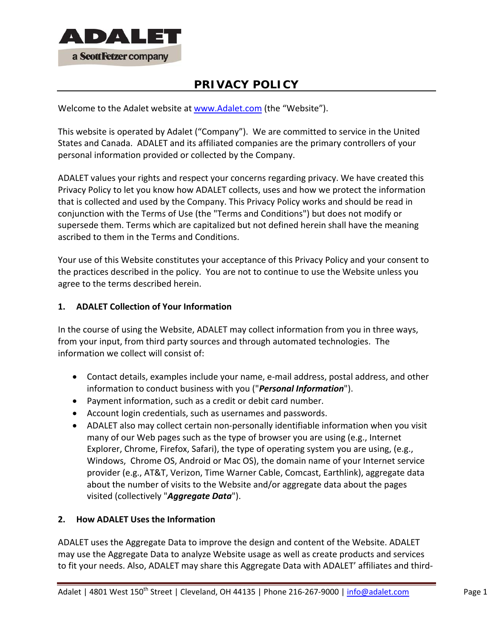

# **PRIVACY POLICY**

Welcome to the Adalet website at www.Adalet.com (the "Website").

This website is operated by Adalet ("Company"). We are committed to service in the United States and Canada. ADALET and its affiliated companies are the primary controllers of your personal information provided or collected by the Company.

ADALET values your rights and respect your concerns regarding privacy. We have created this Privacy Policy to let you know how ADALET collects, uses and how we protect the information that is collected and used by the Company. This Privacy Policy works and should be read in conjunction with the Terms of Use (the "Terms and Conditions") but does not modify or supersede them. Terms which are capitalized but not defined herein shall have the meaning ascribed to them in the Terms and Conditions.

Your use of this Website constitutes your acceptance of this Privacy Policy and your consent to the practices described in the policy. You are not to continue to use the Website unless you agree to the terms described herein.

# **1. ADALET Collection of Your Information**

In the course of using the Website, ADALET may collect information from you in three ways, from your input, from third party sources and through automated technologies. The information we collect will consist of:

- Contact details, examples include your name, e-mail address, postal address, and other information to conduct business with you ("*Personal Information*").
- Payment information, such as a credit or debit card number.
- Account login credentials, such as usernames and passwords.
- ADALET also may collect certain non-personally identifiable information when you visit many of our Web pages such as the type of browser you are using (e.g., Internet Explorer, Chrome, Firefox, Safari), the type of operating system you are using, (e.g., Windows, Chrome OS, Android or Mac OS), the domain name of your Internet service provider (e.g., AT&T, Verizon, Time Warner Cable, Comcast, Earthlink), aggregate data about the number of visits to the Website and/or aggregate data about the pages visited (collectively "*Aggregate Data*").

## **2. How ADALET Uses the Information**

ADALET uses the Aggregate Data to improve the design and content of the Website. ADALET may use the Aggregate Data to analyze Website usage as well as create products and services to fit your needs. Also, ADALET may share this Aggregate Data with ADALET' affiliates and third‐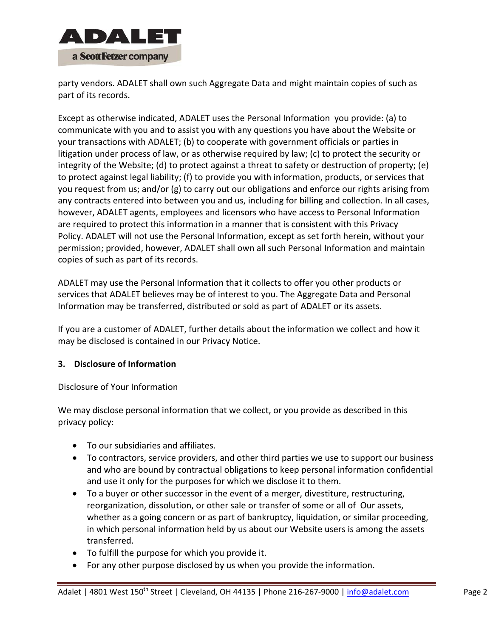

party vendors. ADALET shall own such Aggregate Data and might maintain copies of such as part of its records.

Except as otherwise indicated, ADALET uses the Personal Information you provide: (a) to communicate with you and to assist you with any questions you have about the Website or your transactions with ADALET; (b) to cooperate with government officials or parties in litigation under process of law, or as otherwise required by law; (c) to protect the security or integrity of the Website; (d) to protect against a threat to safety or destruction of property; (e) to protect against legal liability; (f) to provide you with information, products, or services that you request from us; and/or (g) to carry out our obligations and enforce our rights arising from any contracts entered into between you and us, including for billing and collection. In all cases, however, ADALET agents, employees and licensors who have access to Personal Information are required to protect this information in a manner that is consistent with this Privacy Policy. ADALET will not use the Personal Information, except as set forth herein, without your permission; provided, however, ADALET shall own all such Personal Information and maintain copies of such as part of its records.

ADALET may use the Personal Information that it collects to offer you other products or services that ADALET believes may be of interest to you. The Aggregate Data and Personal Information may be transferred, distributed or sold as part of ADALET or its assets.

If you are a customer of ADALET, further details about the information we collect and how it may be disclosed is contained in our Privacy Notice.

# **3. Disclosure of Information**

Disclosure of Your Information

We may disclose personal information that we collect, or you provide as described in this privacy policy:

- To our subsidiaries and affiliates.
- To contractors, service providers, and other third parties we use to support our business and who are bound by contractual obligations to keep personal information confidential and use it only for the purposes for which we disclose it to them.
- To a buyer or other successor in the event of a merger, divestiture, restructuring, reorganization, dissolution, or other sale or transfer of some or all of Our assets, whether as a going concern or as part of bankruptcy, liquidation, or similar proceeding, in which personal information held by us about our Website users is among the assets transferred.
- To fulfill the purpose for which you provide it.
- For any other purpose disclosed by us when you provide the information.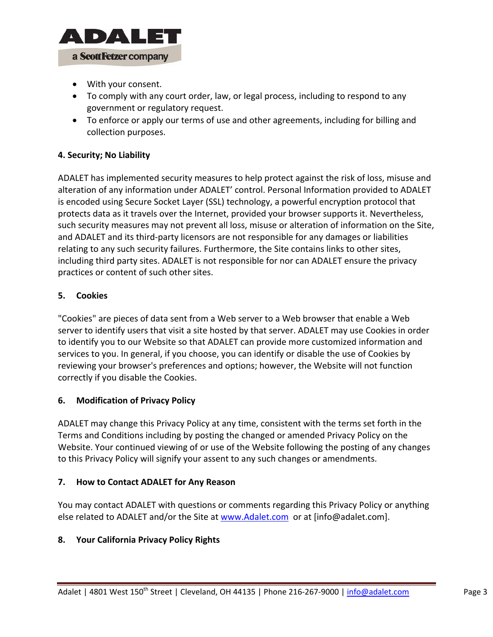

- With your consent.
- To comply with any court order, law, or legal process, including to respond to any government or regulatory request.
- To enforce or apply our terms of use and other agreements, including for billing and collection purposes.

## **4. Security; No Liability**

ADALET has implemented security measures to help protect against the risk of loss, misuse and alteration of any information under ADALET' control. Personal Information provided to ADALET is encoded using Secure Socket Layer (SSL) technology, a powerful encryption protocol that protects data as it travels over the Internet, provided your browser supports it. Nevertheless, such security measures may not prevent all loss, misuse or alteration of information on the Site, and ADALET and its third‐party licensors are not responsible for any damages or liabilities relating to any such security failures. Furthermore, the Site contains links to other sites, including third party sites. ADALET is not responsible for nor can ADALET ensure the privacy practices or content of such other sites.

## **5. Cookies**

"Cookies" are pieces of data sent from a Web server to a Web browser that enable a Web server to identify users that visit a site hosted by that server. ADALET may use Cookies in order to identify you to our Website so that ADALET can provide more customized information and services to you. In general, if you choose, you can identify or disable the use of Cookies by reviewing your browser's preferences and options; however, the Website will not function correctly if you disable the Cookies.

# **6. Modification of Privacy Policy**

ADALET may change this Privacy Policy at any time, consistent with the terms set forth in the Terms and Conditions including by posting the changed or amended Privacy Policy on the Website. Your continued viewing of or use of the Website following the posting of any changes to this Privacy Policy will signify your assent to any such changes or amendments.

## **7. How to Contact ADALET for Any Reason**

You may contact ADALET with questions or comments regarding this Privacy Policy or anything else related to ADALET and/or the Site at www.Adalet.com or at [info@adalet.com].

# **8. Your California Privacy Policy Rights**